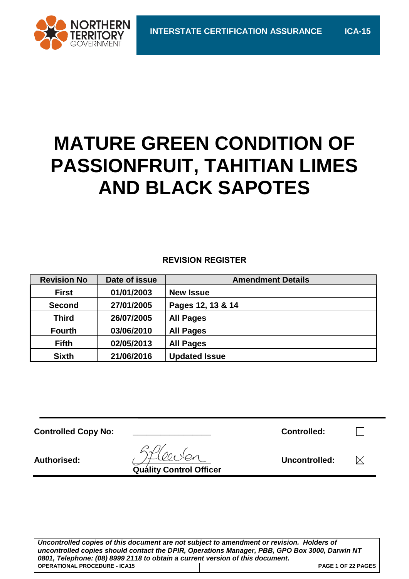

## **MATURE GREEN CONDITION OF PASSIONFRUIT, TAHITIAN LIMES AND BLACK SAPOTES**

#### **REVISION REGISTER**

| <b>Revision No</b> | Date of issue | <b>Amendment Details</b> |
|--------------------|---------------|--------------------------|
| <b>First</b>       | 01/01/2003    | <b>New Issue</b>         |
| <b>Second</b>      | 27/01/2005    | Pages 12, 13 & 14        |
| <b>Third</b>       | 26/07/2005    | <b>All Pages</b>         |
| <b>Fourth</b>      | 03/06/2010    | <b>All Pages</b>         |
| <b>Fifth</b>       | 02/05/2013    | <b>All Pages</b>         |
| <b>Sixth</b>       | 21/06/2016    | <b>Updated Issue</b>     |

| <b>Controlled Copy No:</b> |                                | <b>Controlled:</b> |  |
|----------------------------|--------------------------------|--------------------|--|
| <b>Authorised:</b>         | <b>Quality Control Officer</b> | Uncontrolled:      |  |

*Uncontrolled copies of this document are not subject to amendment or revision. Holders of uncontrolled copies should contact the DPIR, Operations Manager, PBB, GPO Box 3000, Darwin NT 0801, Telephone: (08) 8999 2118 to obtain a current version of this document.* **OPERATIONAL PROCEDURE - ICA15 PAGE 1 OF 22 PAGES**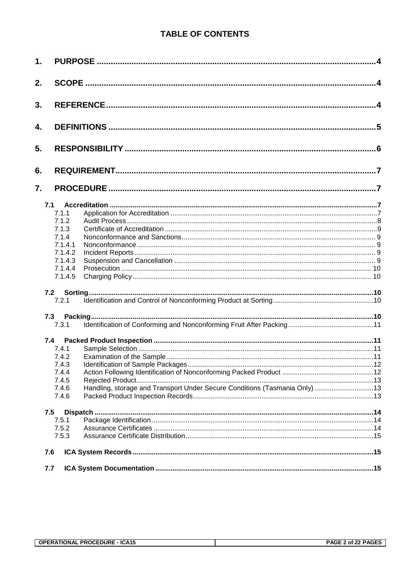#### **TABLE OF CONTENTS**

| 1. |         |                                                                            |  |
|----|---------|----------------------------------------------------------------------------|--|
| 2. |         |                                                                            |  |
| 3. |         |                                                                            |  |
| 4. |         |                                                                            |  |
| 5. |         |                                                                            |  |
| 6. |         |                                                                            |  |
| 7. |         |                                                                            |  |
|    | 7.1     |                                                                            |  |
|    | 7.1.1   |                                                                            |  |
|    | 7.1.2   |                                                                            |  |
|    | 7.1.3   |                                                                            |  |
|    | 7.1.4   |                                                                            |  |
|    | 7.1.4.1 |                                                                            |  |
|    | 7.1.4.2 |                                                                            |  |
|    | 7.1.4.3 |                                                                            |  |
|    | 7.1.4.4 |                                                                            |  |
|    | 7.1.4.5 |                                                                            |  |
|    | 7.2     |                                                                            |  |
|    | 7.2.1   |                                                                            |  |
|    | 7.3     |                                                                            |  |
|    | 7.3.1   |                                                                            |  |
|    | 7.4     |                                                                            |  |
|    | 7.4.1   |                                                                            |  |
|    | 7.4.2   |                                                                            |  |
|    | 7.4.3   |                                                                            |  |
|    | 7.4.4   |                                                                            |  |
|    | 7.4.5   |                                                                            |  |
|    | 7.4.6   | Handling, storage and Transport Under Secure Conditions (Tasmania Only) 13 |  |
|    | 7.4.6   |                                                                            |  |
|    | 7.5     |                                                                            |  |
|    | 7.5.1   |                                                                            |  |
|    | 7.5.2   |                                                                            |  |
|    | 7.5.3   |                                                                            |  |
|    | 7.6     |                                                                            |  |
|    | 7.7     |                                                                            |  |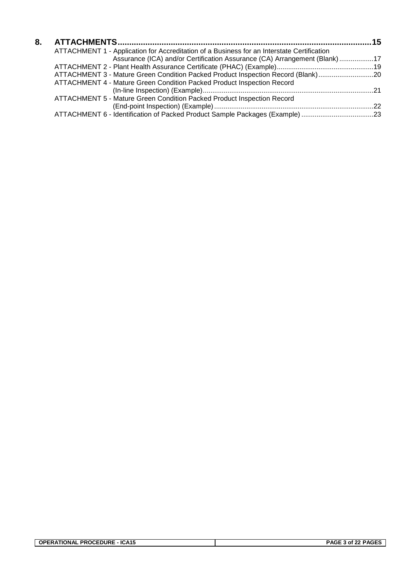| 8. |                                                                                            |  |
|----|--------------------------------------------------------------------------------------------|--|
|    | ATTACHMENT 1 - Application for Accreditation of a Business for an Interstate Certification |  |
|    | Assurance (ICA) and/or Certification Assurance (CA) Arrangement (Blank) 17                 |  |
|    |                                                                                            |  |
|    | ATTACHMENT 3 - Mature Green Condition Packed Product Inspection Record (Blank)20           |  |
|    | ATTACHMENT 4 - Mature Green Condition Packed Product Inspection Record                     |  |
|    |                                                                                            |  |
|    | ATTACHMENT 5 - Mature Green Condition Packed Product Inspection Record                     |  |
|    |                                                                                            |  |
|    | ATTACHMENT 6 - Identification of Packed Product Sample Packages (Example) 23               |  |
|    |                                                                                            |  |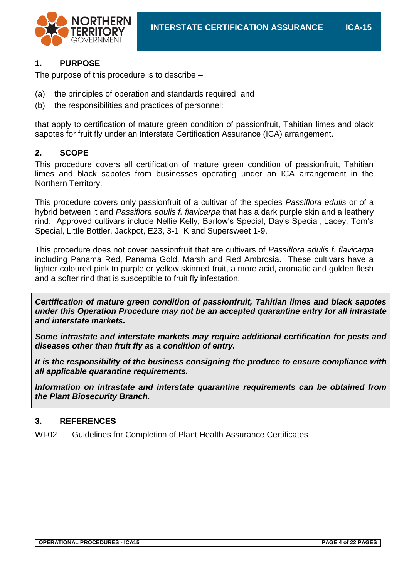

#### **1. PURPOSE**

The purpose of this procedure is to describe –

- (a) the principles of operation and standards required; and
- (b) the responsibilities and practices of personnel;

that apply to certification of mature green condition of passionfruit, Tahitian limes and black sapotes for fruit fly under an Interstate Certification Assurance (ICA) arrangement.

#### **2. SCOPE**

This procedure covers all certification of mature green condition of passionfruit, Tahitian limes and black sapotes from businesses operating under an ICA arrangement in the Northern Territory.

This procedure covers only passionfruit of a cultivar of the species *Passiflora edulis* or of a hybrid between it and *Passiflora edulis f. flavicarpa* that has a dark purple skin and a leathery rind. Approved cultivars include Nellie Kelly, Barlow's Special, Day's Special, Lacey, Tom's Special, Little Bottler, Jackpot, E23, 3-1, K and Supersweet 1-9.

This procedure does not cover passionfruit that are cultivars of *Passiflora edulis f. flavicarpa* including Panama Red, Panama Gold, Marsh and Red Ambrosia. These cultivars have a lighter coloured pink to purple or yellow skinned fruit, a more acid, aromatic and golden flesh and a softer rind that is susceptible to fruit fly infestation.

*Certification of mature green condition of passionfruit, Tahitian limes and black sapotes under this Operation Procedure may not be an accepted quarantine entry for all intrastate and interstate markets.*

*Some intrastate and interstate markets may require additional certification for pests and diseases other than fruit fly as a condition of entry.*

*It is the responsibility of the business consigning the produce to ensure compliance with all applicable quarantine requirements.*

*Information on intrastate and interstate quarantine requirements can be obtained from the Plant Biosecurity Branch.*

#### **3. REFERENCES**

WI-02 Guidelines for Completion of Plant Health Assurance Certificates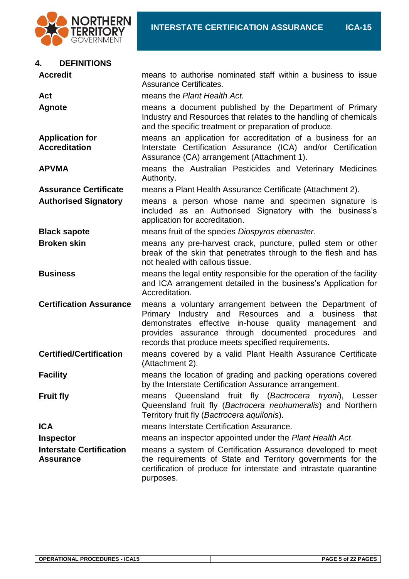

#### **4. DEFINITIONS**

| <b>Accredit</b>                                | means to authorise nominated staff within a business to issue<br>Assurance Certificates.                                                                                                                                                                                                             |  |
|------------------------------------------------|------------------------------------------------------------------------------------------------------------------------------------------------------------------------------------------------------------------------------------------------------------------------------------------------------|--|
| Act                                            | means the Plant Health Act.                                                                                                                                                                                                                                                                          |  |
| <b>Agnote</b>                                  | means a document published by the Department of Primary<br>Industry and Resources that relates to the handling of chemicals<br>and the specific treatment or preparation of produce.                                                                                                                 |  |
| <b>Application for</b><br><b>Accreditation</b> | means an application for accreditation of a business for an<br>Interstate Certification Assurance (ICA) and/or Certification<br>Assurance (CA) arrangement (Attachment 1).                                                                                                                           |  |
| <b>APVMA</b>                                   | means the Australian Pesticides and Veterinary Medicines<br>Authority.                                                                                                                                                                                                                               |  |
| <b>Assurance Certificate</b>                   | means a Plant Health Assurance Certificate (Attachment 2).                                                                                                                                                                                                                                           |  |
| <b>Authorised Signatory</b>                    | means a person whose name and specimen signature is<br>included as an Authorised Signatory with the business's<br>application for accreditation.                                                                                                                                                     |  |
| <b>Black sapote</b>                            | means fruit of the species Diospyros ebenaster.                                                                                                                                                                                                                                                      |  |
| <b>Broken skin</b>                             | means any pre-harvest crack, puncture, pulled stem or other<br>break of the skin that penetrates through to the flesh and has<br>not healed with callous tissue.                                                                                                                                     |  |
| <b>Business</b>                                | means the legal entity responsible for the operation of the facility<br>and ICA arrangement detailed in the business's Application for<br>Accreditation.                                                                                                                                             |  |
| <b>Certification Assurance</b>                 | means a voluntary arrangement between the Department of<br>Primary Industry and Resources and<br>business<br>a<br>that<br>demonstrates effective in-house quality management<br>and<br>provides assurance through documented procedures<br>and<br>records that produce meets specified requirements. |  |
| <b>Certified/Certification</b>                 | means covered by a valid Plant Health Assurance Certificate<br>(Attachment 2).                                                                                                                                                                                                                       |  |
| <b>Facility</b>                                | means the location of grading and packing operations covered<br>by the Interstate Certification Assurance arrangement.                                                                                                                                                                               |  |
| <b>Fruit fly</b>                               | Queensland fruit fly (Bactrocera tryoni), Lesser<br>means<br>Queensland fruit fly (Bactrocera neohumeralis) and Northern<br>Territory fruit fly (Bactrocera aquilonis).                                                                                                                              |  |
| <b>ICA</b>                                     | means Interstate Certification Assurance.                                                                                                                                                                                                                                                            |  |
| <b>Inspector</b>                               | means an inspector appointed under the Plant Health Act.                                                                                                                                                                                                                                             |  |
| <b>Interstate Certification</b><br>Assurance   | means a system of Certification Assurance developed to meet<br>the requirements of State and Territory governments for the<br>certification of produce for interstate and intrastate quarantine<br>purposes.                                                                                         |  |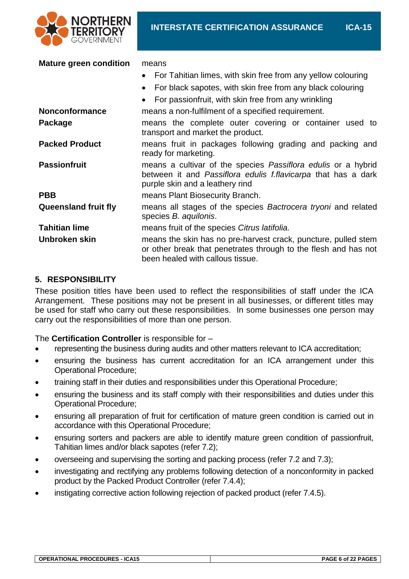

| <b>Mature green condition</b> | means<br>For Tahitian limes, with skin free from any yellow colouring<br>$\bullet$<br>For black sapotes, with skin free from any black colouring<br>$\bullet$<br>For passionfruit, with skin free from any wrinkling<br>$\bullet$ |
|-------------------------------|-----------------------------------------------------------------------------------------------------------------------------------------------------------------------------------------------------------------------------------|
| <b>Nonconformance</b>         | means a non-fulfilment of a specified requirement.                                                                                                                                                                                |
| Package                       | means the complete outer covering or container used to<br>transport and market the product.                                                                                                                                       |
| <b>Packed Product</b>         | means fruit in packages following grading and packing and<br>ready for marketing.                                                                                                                                                 |
| <b>Passionfruit</b>           | means a cultivar of the species <i>Passiflora edulis</i> or a hybrid<br>between it and Passiflora edulis f.flavicarpa that has a dark<br>purple skin and a leathery rind                                                          |
| <b>PBB</b>                    | means Plant Biosecurity Branch.                                                                                                                                                                                                   |
| <b>Queensland fruit fly</b>   | means all stages of the species Bactrocera tryoni and related<br>species B. aquilonis.                                                                                                                                            |
| <b>Tahitian lime</b>          | means fruit of the species Citrus latifolia.                                                                                                                                                                                      |
| Unbroken skin                 | means the skin has no pre-harvest crack, puncture, pulled stem<br>or other break that penetrates through to the flesh and has not<br>been healed with callous tissue.                                                             |

#### **5. RESPONSIBILITY**

These position titles have been used to reflect the responsibilities of staff under the ICA Arrangement. These positions may not be present in all businesses, or different titles may be used for staff who carry out these responsibilities. In some businesses one person may carry out the responsibilities of more than one person.

The **Certification Controller** is responsible for –

- representing the business during audits and other matters relevant to ICA accreditation;
- ensuring the business has current accreditation for an ICA arrangement under this Operational Procedure;
- training staff in their duties and responsibilities under this Operational Procedure;
- ensuring the business and its staff comply with their responsibilities and duties under this Operational Procedure;
- ensuring all preparation of fruit for certification of mature green condition is carried out in accordance with this Operational Procedure;
- ensuring sorters and packers are able to identify mature green condition of passionfruit, Tahitian limes and/or black sapotes (refer 7.2);
- overseeing and supervising the sorting and packing process (refer 7.2 and 7.3);
- investigating and rectifying any problems following detection of a nonconformity in packed product by the Packed Product Controller (refer 7.4.4);
- instigating corrective action following rejection of packed product (refer 7.4.5).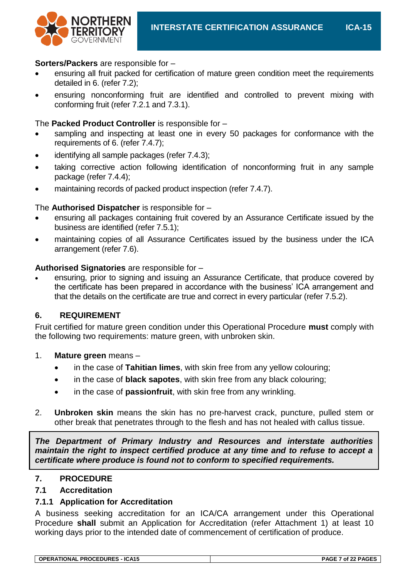

#### **Sorters/Packers** are responsible for –

- ensuring all fruit packed for certification of mature green condition meet the requirements detailed in 6. (refer 7.2);
- ensuring nonconforming fruit are identified and controlled to prevent mixing with conforming fruit (refer 7.2.1 and 7.3.1).

#### The **Packed Product Controller** is responsible for –

- sampling and inspecting at least one in every 50 packages for conformance with the requirements of 6. (refer 7.4.7);
- identifying all sample packages (refer 7.4.3);
- taking corrective action following identification of nonconforming fruit in any sample package (refer 7.4.4);
- maintaining records of packed product inspection (refer 7.4.7).

#### The **Authorised Dispatcher** is responsible for –

- ensuring all packages containing fruit covered by an Assurance Certificate issued by the business are identified (refer 7.5.1);
- maintaining copies of all Assurance Certificates issued by the business under the ICA arrangement (refer 7.6).

#### **Authorised Signatories** are responsible for –

 ensuring, prior to signing and issuing an Assurance Certificate, that produce covered by the certificate has been prepared in accordance with the business' ICA arrangement and that the details on the certificate are true and correct in every particular (refer 7.5.2).

#### **6. REQUIREMENT**

Fruit certified for mature green condition under this Operational Procedure **must** comply with the following two requirements: mature green, with unbroken skin.

#### 1. **Mature green** means –

- in the case of **Tahitian limes**, with skin free from any yellow colouring;
- in the case of **black sapotes**, with skin free from any black colouring;
- in the case of **passionfruit**, with skin free from any wrinkling.
- 2. **Unbroken skin** means the skin has no pre-harvest crack, puncture, pulled stem or other break that penetrates through to the flesh and has not healed with callus tissue.

*The Department of Primary Industry and Resources and interstate authorities maintain the right to inspect certified produce at any time and to refuse to accept a certificate where produce is found not to conform to specified requirements.*

#### **7. PROCEDURE**

#### **7.1 Accreditation**

#### **7.1.1 Application for Accreditation**

A business seeking accreditation for an ICA/CA arrangement under this Operational Procedure **shall** submit an Application for Accreditation (refer Attachment 1) at least 10 working days prior to the intended date of commencement of certification of produce.

| <b>OPERATIONAL PROCEDURES - ICA15</b> | PAGE 7 of 22 PAGES |
|---------------------------------------|--------------------|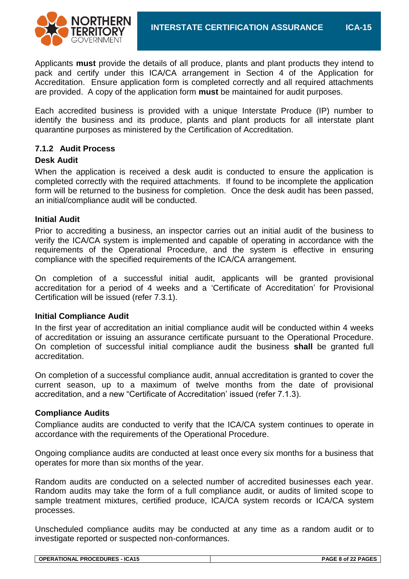

Applicants **must** provide the details of all produce, plants and plant products they intend to pack and certify under this ICA/CA arrangement in Section 4 of the Application for Accreditation. Ensure application form is completed correctly and all required attachments are provided. A copy of the application form **must** be maintained for audit purposes.

Each accredited business is provided with a unique Interstate Produce (IP) number to identify the business and its produce, plants and plant products for all interstate plant quarantine purposes as ministered by the Certification of Accreditation.

#### **7.1.2 Audit Process**

#### **Desk Audit**

When the application is received a desk audit is conducted to ensure the application is completed correctly with the required attachments. If found to be incomplete the application form will be returned to the business for completion. Once the desk audit has been passed, an initial/compliance audit will be conducted.

#### **Initial Audit**

Prior to accrediting a business, an inspector carries out an initial audit of the business to verify the ICA/CA system is implemented and capable of operating in accordance with the requirements of the Operational Procedure, and the system is effective in ensuring compliance with the specified requirements of the ICA/CA arrangement.

On completion of a successful initial audit, applicants will be granted provisional accreditation for a period of 4 weeks and a 'Certificate of Accreditation' for Provisional Certification will be issued (refer 7.3.1).

#### **Initial Compliance Audit**

In the first year of accreditation an initial compliance audit will be conducted within 4 weeks of accreditation or issuing an assurance certificate pursuant to the Operational Procedure. On completion of successful initial compliance audit the business **shall** be granted full accreditation.

On completion of a successful compliance audit, annual accreditation is granted to cover the current season, up to a maximum of twelve months from the date of provisional accreditation, and a new "Certificate of Accreditation' issued (refer 7.1.3).

#### **Compliance Audits**

Compliance audits are conducted to verify that the ICA/CA system continues to operate in accordance with the requirements of the Operational Procedure.

Ongoing compliance audits are conducted at least once every six months for a business that operates for more than six months of the year.

Random audits are conducted on a selected number of accredited businesses each year. Random audits may take the form of a full compliance audit, or audits of limited scope to sample treatment mixtures, certified produce, ICA/CA system records or ICA/CA system processes.

Unscheduled compliance audits may be conducted at any time as a random audit or to investigate reported or suspected non-conformances.

| <b>_ PROCEDURES - ICA15</b><br><b>OPERATIONAL</b> | PAGE 8 of 22 PAGES |
|---------------------------------------------------|--------------------|
|                                                   |                    |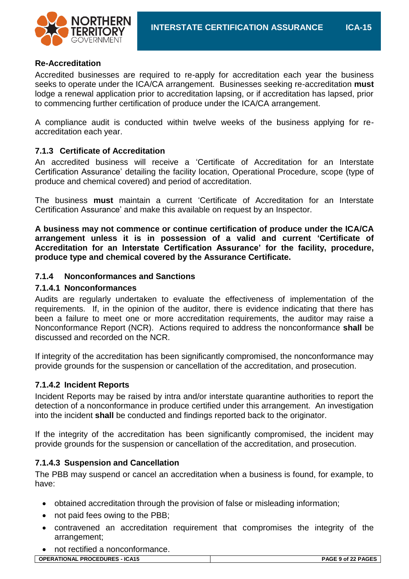

#### **Re-Accreditation**

Accredited businesses are required to re-apply for accreditation each year the business seeks to operate under the ICA/CA arrangement. Businesses seeking re-accreditation **must** lodge a renewal application prior to accreditation lapsing, or if accreditation has lapsed, prior to commencing further certification of produce under the ICA/CA arrangement.

A compliance audit is conducted within twelve weeks of the business applying for reaccreditation each year.

#### **7.1.3 Certificate of Accreditation**

An accredited business will receive a 'Certificate of Accreditation for an Interstate Certification Assurance' detailing the facility location, Operational Procedure, scope (type of produce and chemical covered) and period of accreditation.

The business **must** maintain a current 'Certificate of Accreditation for an Interstate Certification Assurance' and make this available on request by an Inspector.

**A business may not commence or continue certification of produce under the ICA/CA arrangement unless it is in possession of a valid and current 'Certificate of Accreditation for an Interstate Certification Assurance' for the facility, procedure, produce type and chemical covered by the Assurance Certificate.**

#### **7.1.4 Nonconformances and Sanctions**

#### **7.1.4.1 Nonconformances**

Audits are regularly undertaken to evaluate the effectiveness of implementation of the requirements. If, in the opinion of the auditor, there is evidence indicating that there has been a failure to meet one or more accreditation requirements, the auditor may raise a Nonconformance Report (NCR). Actions required to address the nonconformance **shall** be discussed and recorded on the NCR.

If integrity of the accreditation has been significantly compromised, the nonconformance may provide grounds for the suspension or cancellation of the accreditation, and prosecution.

#### **7.1.4.2 Incident Reports**

Incident Reports may be raised by intra and/or interstate quarantine authorities to report the detection of a nonconformance in produce certified under this arrangement. An investigation into the incident **shall** be conducted and findings reported back to the originator.

If the integrity of the accreditation has been significantly compromised, the incident may provide grounds for the suspension or cancellation of the accreditation, and prosecution.

#### **7.1.4.3 Suspension and Cancellation**

The PBB may suspend or cancel an accreditation when a business is found, for example, to have:

- obtained accreditation through the provision of false or misleading information;
- not paid fees owing to the PBB;
- contravened an accreditation requirement that compromises the integrity of the arrangement;
- not rectified a nonconformance.

| <b>OPERATIONAL PROCEDURES - ICA15</b> | PAGE 9 of 22 PAGES |
|---------------------------------------|--------------------|
|                                       |                    |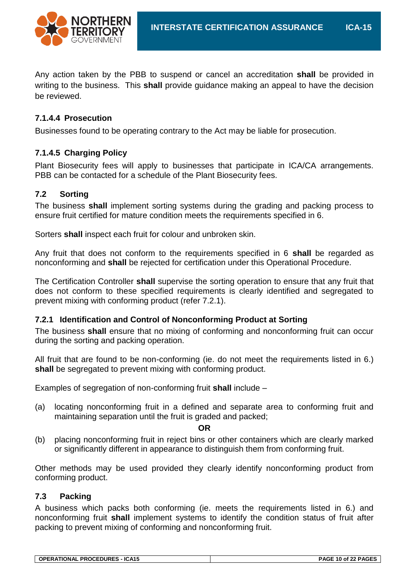Any action taken by the PBB to suspend or cancel an accreditation **shall** be provided in writing to the business. This **shall** provide guidance making an appeal to have the decision be reviewed.

#### **7.1.4.4 Prosecution**

Businesses found to be operating contrary to the Act may be liable for prosecution.

#### **7.1.4.5 Charging Policy**

Plant Biosecurity fees will apply to businesses that participate in ICA/CA arrangements. PBB can be contacted for a schedule of the Plant Biosecurity fees.

#### **7.2 Sorting**

The business **shall** implement sorting systems during the grading and packing process to ensure fruit certified for mature condition meets the requirements specified in 6.

Sorters **shall** inspect each fruit for colour and unbroken skin.

Any fruit that does not conform to the requirements specified in 6 **shall** be regarded as nonconforming and **shall** be rejected for certification under this Operational Procedure.

The Certification Controller **shall** supervise the sorting operation to ensure that any fruit that does not conform to these specified requirements is clearly identified and segregated to prevent mixing with conforming product (refer 7.2.1).

#### **7.2.1 Identification and Control of Nonconforming Product at Sorting**

The business **shall** ensure that no mixing of conforming and nonconforming fruit can occur during the sorting and packing operation.

All fruit that are found to be non-conforming (ie. do not meet the requirements listed in 6.) **shall** be segregated to prevent mixing with conforming product.

Examples of segregation of non-conforming fruit **shall** include –

(a) locating nonconforming fruit in a defined and separate area to conforming fruit and maintaining separation until the fruit is graded and packed;

**OR**

(b) placing nonconforming fruit in reject bins or other containers which are clearly marked or significantly different in appearance to distinguish them from conforming fruit.

Other methods may be used provided they clearly identify nonconforming product from conforming product.

#### **7.3 Packing**

A business which packs both conforming (ie. meets the requirements listed in 6.) and nonconforming fruit **shall** implement systems to identify the condition status of fruit after packing to prevent mixing of conforming and nonconforming fruit.

| <b>OPERATIONAL PROCEDURES - ICA15</b> | PAGE 10 of 22 PAGES |
|---------------------------------------|---------------------|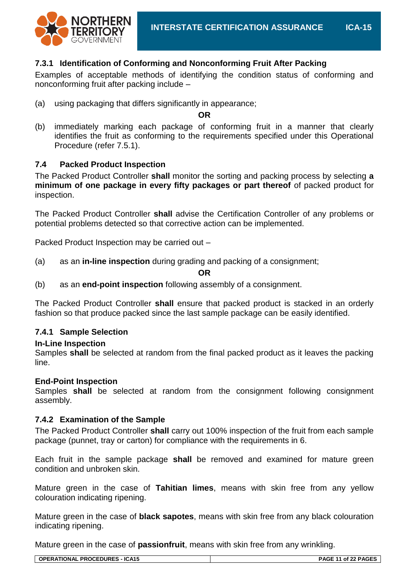

#### **7.3.1 Identification of Conforming and Nonconforming Fruit After Packing**

Examples of acceptable methods of identifying the condition status of conforming and nonconforming fruit after packing include –

(a) using packaging that differs significantly in appearance;

**OR**

(b) immediately marking each package of conforming fruit in a manner that clearly identifies the fruit as conforming to the requirements specified under this Operational Procedure (refer 7.5.1).

#### **7.4 Packed Product Inspection**

The Packed Product Controller **shall** monitor the sorting and packing process by selecting **a minimum of one package in every fifty packages or part thereof** of packed product for inspection.

The Packed Product Controller **shall** advise the Certification Controller of any problems or potential problems detected so that corrective action can be implemented.

Packed Product Inspection may be carried out –

(a) as an **in-line inspection** during grading and packing of a consignment;

**OR**

(b) as an **end-point inspection** following assembly of a consignment.

The Packed Product Controller **shall** ensure that packed product is stacked in an orderly fashion so that produce packed since the last sample package can be easily identified.

#### **7.4.1 Sample Selection**

#### **In-Line Inspection**

Samples **shall** be selected at random from the final packed product as it leaves the packing line.

#### **End-Point Inspection**

Samples **shall** be selected at random from the consignment following consignment assembly.

#### **7.4.2 Examination of the Sample**

The Packed Product Controller **shall** carry out 100% inspection of the fruit from each sample package (punnet, tray or carton) for compliance with the requirements in 6.

Each fruit in the sample package **shall** be removed and examined for mature green condition and unbroken skin.

Mature green in the case of **Tahitian limes**, means with skin free from any yellow colouration indicating ripening.

Mature green in the case of **black sapotes**, means with skin free from any black colouration indicating ripening.

Mature green in the case of **passionfruit**, means with skin free from any wrinkling.

| <b>OPERATIONAL PROCEDURES - ICA15</b> | PAGE 11 of 22 PAGES |
|---------------------------------------|---------------------|
|                                       |                     |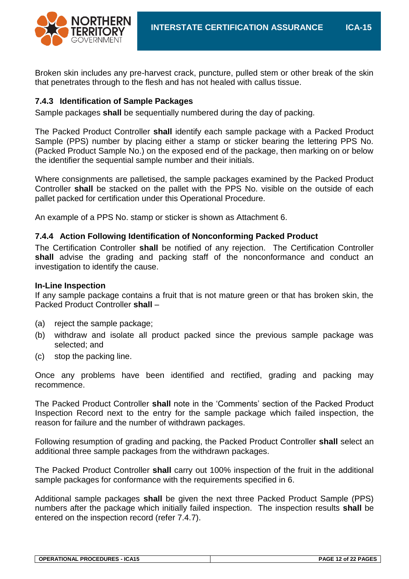

Broken skin includes any pre-harvest crack, puncture, pulled stem or other break of the skin that penetrates through to the flesh and has not healed with callus tissue.

#### **7.4.3 Identification of Sample Packages**

Sample packages **shall** be sequentially numbered during the day of packing.

The Packed Product Controller **shall** identify each sample package with a Packed Product Sample (PPS) number by placing either a stamp or sticker bearing the lettering PPS No. (Packed Product Sample No.) on the exposed end of the package, then marking on or below the identifier the sequential sample number and their initials.

Where consignments are palletised, the sample packages examined by the Packed Product Controller **shall** be stacked on the pallet with the PPS No. visible on the outside of each pallet packed for certification under this Operational Procedure.

An example of a PPS No. stamp or sticker is shown as Attachment 6.

#### **7.4.4 Action Following Identification of Nonconforming Packed Product**

The Certification Controller **shall** be notified of any rejection. The Certification Controller **shall** advise the grading and packing staff of the nonconformance and conduct an investigation to identify the cause.

#### **In-Line Inspection**

If any sample package contains a fruit that is not mature green or that has broken skin, the Packed Product Controller **shall** –

- (a) reject the sample package;
- (b) withdraw and isolate all product packed since the previous sample package was selected; and
- (c) stop the packing line.

Once any problems have been identified and rectified, grading and packing may recommence.

The Packed Product Controller **shall** note in the 'Comments' section of the Packed Product Inspection Record next to the entry for the sample package which failed inspection, the reason for failure and the number of withdrawn packages.

Following resumption of grading and packing, the Packed Product Controller **shall** select an additional three sample packages from the withdrawn packages.

The Packed Product Controller **shall** carry out 100% inspection of the fruit in the additional sample packages for conformance with the requirements specified in 6.

Additional sample packages **shall** be given the next three Packed Product Sample (PPS) numbers after the package which initially failed inspection. The inspection results **shall** be entered on the inspection record (refer 7.4.7).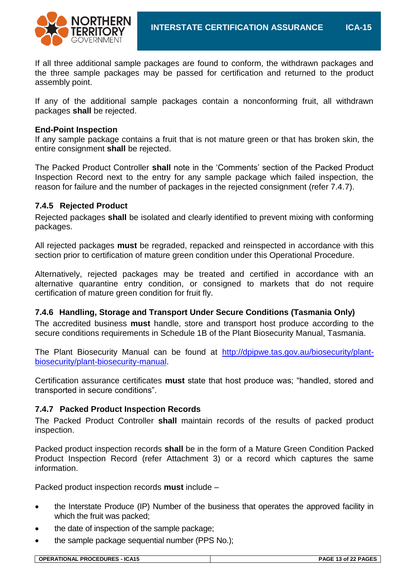

If all three additional sample packages are found to conform, the withdrawn packages and the three sample packages may be passed for certification and returned to the product assembly point.

If any of the additional sample packages contain a nonconforming fruit, all withdrawn packages **shall** be rejected.

#### **End-Point Inspection**

If any sample package contains a fruit that is not mature green or that has broken skin, the entire consignment **shall** be rejected.

The Packed Product Controller **shall** note in the 'Comments' section of the Packed Product Inspection Record next to the entry for any sample package which failed inspection, the reason for failure and the number of packages in the rejected consignment (refer 7.4.7).

#### **7.4.5 Rejected Product**

Rejected packages **shall** be isolated and clearly identified to prevent mixing with conforming packages.

All rejected packages **must** be regraded, repacked and reinspected in accordance with this section prior to certification of mature green condition under this Operational Procedure.

Alternatively, rejected packages may be treated and certified in accordance with an alternative quarantine entry condition, or consigned to markets that do not require certification of mature green condition for fruit fly.

#### **7.4.6 Handling, Storage and Transport Under Secure Conditions (Tasmania Only)**

The accredited business **must** handle, store and transport host produce according to the secure conditions requirements in Schedule 1B of the Plant Biosecurity Manual, Tasmania.

The Plant Biosecurity Manual can be found at [http://dpipwe.tas.gov.au/biosecurity/plant](http://dpipwe.tas.gov.au/biosecurity/plant-biosecurity/plant-biosecurity-manual)[biosecurity/plant-biosecurity-manual.](http://dpipwe.tas.gov.au/biosecurity/plant-biosecurity/plant-biosecurity-manual)

Certification assurance certificates **must** state that host produce was; "handled, stored and transported in secure conditions".

#### **7.4.7 Packed Product Inspection Records**

The Packed Product Controller **shall** maintain records of the results of packed product inspection.

Packed product inspection records **shall** be in the form of a Mature Green Condition Packed Product Inspection Record (refer Attachment 3) or a record which captures the same information.

Packed product inspection records **must** include –

- the Interstate Produce (IP) Number of the business that operates the approved facility in which the fruit was packed;
- the date of inspection of the sample package;
- the sample package sequential number (PPS No.);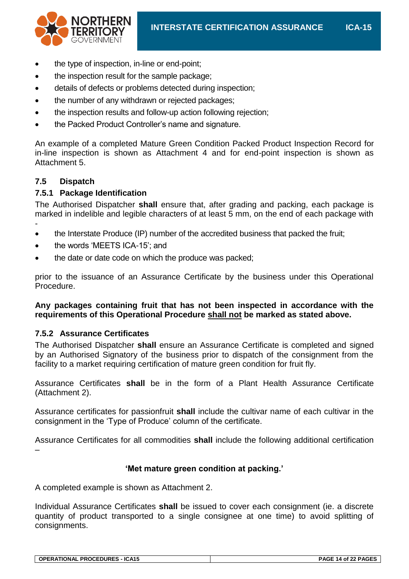

- the type of inspection, in-line or end-point;
- the inspection result for the sample package;
- details of defects or problems detected during inspection;
- the number of any withdrawn or rejected packages;
- the inspection results and follow-up action following rejection;
- the Packed Product Controller's name and signature.

An example of a completed Mature Green Condition Packed Product Inspection Record for in-line inspection is shown as Attachment 4 and for end-point inspection is shown as Attachment 5.

#### **7.5 Dispatch**

-

#### **7.5.1 Package Identification**

The Authorised Dispatcher **shall** ensure that, after grading and packing, each package is marked in indelible and legible characters of at least 5 mm, on the end of each package with

- the Interstate Produce (IP) number of the accredited business that packed the fruit;
- the words 'MEETS ICA-15'; and
- the date or date code on which the produce was packed;

prior to the issuance of an Assurance Certificate by the business under this Operational Procedure.

#### **Any packages containing fruit that has not been inspected in accordance with the requirements of this Operational Procedure shall not be marked as stated above.**

#### **7.5.2 Assurance Certificates**

The Authorised Dispatcher **shall** ensure an Assurance Certificate is completed and signed by an Authorised Signatory of the business prior to dispatch of the consignment from the facility to a market requiring certification of mature green condition for fruit fly.

Assurance Certificates **shall** be in the form of a Plant Health Assurance Certificate (Attachment 2).

Assurance certificates for passionfruit **shall** include the cultivar name of each cultivar in the consignment in the 'Type of Produce' column of the certificate.

Assurance Certificates for all commodities **shall** include the following additional certification –

#### **'Met mature green condition at packing.'**

A completed example is shown as Attachment 2.

Individual Assurance Certificates **shall** be issued to cover each consignment (ie. a discrete quantity of product transported to a single consignee at one time) to avoid splitting of consignments.

| <b>OPERATIONAL PROCEDURES - ICA15</b> | PAGE 14 of 22 PAGES |
|---------------------------------------|---------------------|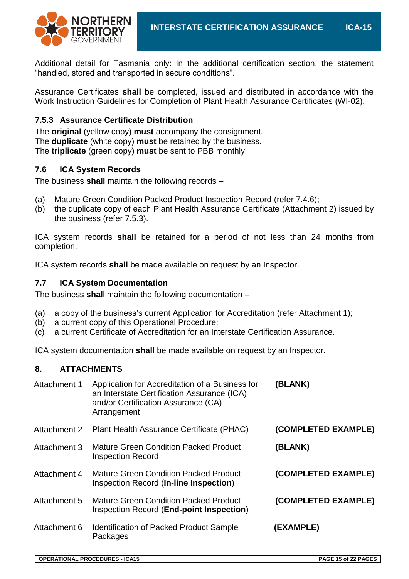Additional detail for Tasmania only: In the additional certification section, the statement "handled, stored and transported in secure conditions".

Assurance Certificates **shall** be completed, issued and distributed in accordance with the Work Instruction Guidelines for Completion of Plant Health Assurance Certificates (WI-02).

#### **7.5.3 Assurance Certificate Distribution**

The **original** (yellow copy) **must** accompany the consignment. The **duplicate** (white copy) **must** be retained by the business. The **triplicate** (green copy) **must** be sent to PBB monthly.

#### **7.6 ICA System Records**

The business **shall** maintain the following records –

- (a) Mature Green Condition Packed Product Inspection Record (refer 7.4.6);
- (b) the duplicate copy of each Plant Health Assurance Certificate (Attachment 2) issued by the business (refer 7.5.3).

ICA system records **shall** be retained for a period of not less than 24 months from completion.

ICA system records **shall** be made available on request by an Inspector.

#### **7.7 ICA System Documentation**

The business **shal**l maintain the following documentation –

- (a) a copy of the business's current Application for Accreditation (refer Attachment 1);
- (b) a current copy of this Operational Procedure;
- (c) a current Certificate of Accreditation for an Interstate Certification Assurance.

ICA system documentation **shall** be made available on request by an Inspector.

#### **8. ATTACHMENTS**

| Attachment 1 | Application for Accreditation of a Business for<br>an Interstate Certification Assurance (ICA)<br>and/or Certification Assurance (CA)<br>Arrangement | (BLANK)             |
|--------------|------------------------------------------------------------------------------------------------------------------------------------------------------|---------------------|
| Attachment 2 | Plant Health Assurance Certificate (PHAC)                                                                                                            | (COMPLETED EXAMPLE) |
| Attachment 3 | <b>Mature Green Condition Packed Product</b><br><b>Inspection Record</b>                                                                             | (BLANK)             |
| Attachment 4 | <b>Mature Green Condition Packed Product</b><br>Inspection Record (In-line Inspection)                                                               | (COMPLETED EXAMPLE) |
| Attachment 5 | <b>Mature Green Condition Packed Product</b><br>Inspection Record (End-point Inspection)                                                             | (COMPLETED EXAMPLE) |
| Attachment 6 | <b>Identification of Packed Product Sample</b><br>Packages                                                                                           | (EXAMPLE)           |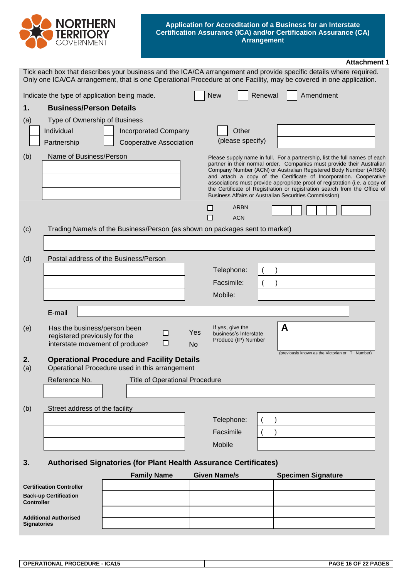

#### **Application for Accreditation of a Business for an Interstate Certification Assurance (ICA) and/or Certification Assurance (CA) Arrangement**

|                    |                                                                                                  |                                                                             |                                                                                      | <b>Attachment 1</b>                                                                                                                                                                                                                                                                                                                                                                                                                                                                                                        |
|--------------------|--------------------------------------------------------------------------------------------------|-----------------------------------------------------------------------------|--------------------------------------------------------------------------------------|----------------------------------------------------------------------------------------------------------------------------------------------------------------------------------------------------------------------------------------------------------------------------------------------------------------------------------------------------------------------------------------------------------------------------------------------------------------------------------------------------------------------------|
|                    |                                                                                                  |                                                                             |                                                                                      | Tick each box that describes your business and the ICA/CA arrangement and provide specific details where required.<br>Only one ICA/CA arrangement, that is one Operational Procedure at one Facility, may be covered in one application.                                                                                                                                                                                                                                                                                   |
|                    | Indicate the type of application being made.                                                     |                                                                             | <b>New</b>                                                                           | Renewal<br>Amendment                                                                                                                                                                                                                                                                                                                                                                                                                                                                                                       |
| 1.                 | <b>Business/Person Details</b>                                                                   |                                                                             |                                                                                      |                                                                                                                                                                                                                                                                                                                                                                                                                                                                                                                            |
| (a)                | Type of Ownership of Business                                                                    |                                                                             |                                                                                      |                                                                                                                                                                                                                                                                                                                                                                                                                                                                                                                            |
|                    | Individual                                                                                       | <b>Incorporated Company</b>                                                 | Other                                                                                |                                                                                                                                                                                                                                                                                                                                                                                                                                                                                                                            |
|                    | Partnership                                                                                      | <b>Cooperative Association</b>                                              | (please specify)                                                                     |                                                                                                                                                                                                                                                                                                                                                                                                                                                                                                                            |
| (b)                | Name of Business/Person                                                                          |                                                                             |                                                                                      | Please supply name in full. For a partnership, list the full names of each<br>partner in their normal order. Companies must provide their Australian<br>Company Number (ACN) or Australian Registered Body Number (ARBN)<br>and attach a copy of the Certificate of Incorporation. Cooperative<br>associations must provide appropriate proof of registration (i.e. a copy of<br>the Certificate of Registration or registration search from the Office of<br><b>Business Affairs or Australian Securities Commission)</b> |
|                    |                                                                                                  |                                                                             | <b>ARBN</b><br>H<br><b>ACN</b>                                                       |                                                                                                                                                                                                                                                                                                                                                                                                                                                                                                                            |
| (c)                |                                                                                                  | Trading Name/s of the Business/Person (as shown on packages sent to market) |                                                                                      |                                                                                                                                                                                                                                                                                                                                                                                                                                                                                                                            |
|                    |                                                                                                  |                                                                             |                                                                                      |                                                                                                                                                                                                                                                                                                                                                                                                                                                                                                                            |
| (d)                |                                                                                                  | Postal address of the Business/Person                                       |                                                                                      |                                                                                                                                                                                                                                                                                                                                                                                                                                                                                                                            |
|                    |                                                                                                  |                                                                             | Telephone:                                                                           |                                                                                                                                                                                                                                                                                                                                                                                                                                                                                                                            |
|                    |                                                                                                  |                                                                             | Facsimile:                                                                           |                                                                                                                                                                                                                                                                                                                                                                                                                                                                                                                            |
|                    |                                                                                                  |                                                                             | Mobile:                                                                              |                                                                                                                                                                                                                                                                                                                                                                                                                                                                                                                            |
|                    | E-mail                                                                                           |                                                                             |                                                                                      |                                                                                                                                                                                                                                                                                                                                                                                                                                                                                                                            |
| (e)                | Has the business/person been<br>registered previously for the<br>interstate movement of produce? | □                                                                           | If yes, give the<br>Yes<br>business's Interstate<br>Produce (IP) Number<br><b>No</b> | A                                                                                                                                                                                                                                                                                                                                                                                                                                                                                                                          |
| 2.                 |                                                                                                  | <b>Operational Procedure and Facility Details</b>                           |                                                                                      | (previously known as the Victorian or T Number)                                                                                                                                                                                                                                                                                                                                                                                                                                                                            |
| (a)                |                                                                                                  | Operational Procedure used in this arrangement                              |                                                                                      |                                                                                                                                                                                                                                                                                                                                                                                                                                                                                                                            |
|                    | Reference No.                                                                                    | <b>Title of Operational Procedure</b>                                       |                                                                                      |                                                                                                                                                                                                                                                                                                                                                                                                                                                                                                                            |
|                    |                                                                                                  |                                                                             |                                                                                      |                                                                                                                                                                                                                                                                                                                                                                                                                                                                                                                            |
| (b)                | Street address of the facility                                                                   |                                                                             |                                                                                      |                                                                                                                                                                                                                                                                                                                                                                                                                                                                                                                            |
|                    |                                                                                                  |                                                                             | Telephone:<br>Facsimile                                                              |                                                                                                                                                                                                                                                                                                                                                                                                                                                                                                                            |
|                    |                                                                                                  |                                                                             | Mobile                                                                               |                                                                                                                                                                                                                                                                                                                                                                                                                                                                                                                            |
|                    |                                                                                                  |                                                                             |                                                                                      |                                                                                                                                                                                                                                                                                                                                                                                                                                                                                                                            |
| 3.                 |                                                                                                  | Authorised Signatories (for Plant Health Assurance Certificates)            |                                                                                      |                                                                                                                                                                                                                                                                                                                                                                                                                                                                                                                            |
|                    |                                                                                                  | <b>Family Name</b>                                                          | <b>Given Name/s</b>                                                                  | <b>Specimen Signature</b>                                                                                                                                                                                                                                                                                                                                                                                                                                                                                                  |
|                    | <b>Certification Controller</b>                                                                  |                                                                             |                                                                                      |                                                                                                                                                                                                                                                                                                                                                                                                                                                                                                                            |
| <b>Controller</b>  | <b>Back-up Certification</b>                                                                     |                                                                             |                                                                                      |                                                                                                                                                                                                                                                                                                                                                                                                                                                                                                                            |
| <b>Signatories</b> | <b>Additional Authorised</b>                                                                     |                                                                             |                                                                                      |                                                                                                                                                                                                                                                                                                                                                                                                                                                                                                                            |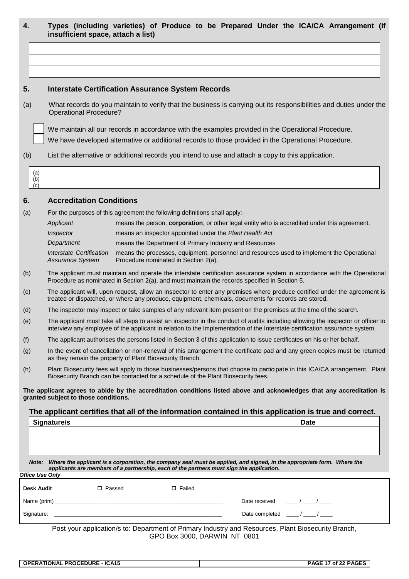|  |                                    |  |  |  |  | Types (including varieties) of Produce to be Prepared Under the ICA/CA Arrangement (if |  |
|--|------------------------------------|--|--|--|--|----------------------------------------------------------------------------------------|--|
|  | insufficient space, attach a list) |  |  |  |  |                                                                                        |  |

#### **5. Interstate Certification Assurance System Records**

(a) What records do you maintain to verify that the business is carrying out its responsibilities and duties under the Operational Procedure?

We maintain all our records in accordance with the examples provided in the Operational Procedure.

We have developed alternative or additional records to those provided in the Operational Procedure.

(b) List the alternative or additional records you intend to use and attach a copy to this application.



#### **6. Accreditation Conditions**

(a) For the purposes of this agreement the following definitions shall apply:-

| Applicant                                           | means the person, corporation, or other legal entity who is accredited under this agreement.                                      |
|-----------------------------------------------------|-----------------------------------------------------------------------------------------------------------------------------------|
| Inspector                                           | means an inspector appointed under the Plant Health Act                                                                           |
| Department                                          | means the Department of Primary Industry and Resources                                                                            |
| Interstate Certification<br><b>Assurance System</b> | means the processes, equipment, personnel and resources used to implement the Operational<br>Procedure nominated in Section 2(a). |

- (b) The applicant must maintain and operate the interstate certification assurance system in accordance with the Operational Procedure as nominated in Section 2(a), and must maintain the records specified in Section 5.
- (c) The applicant will, upon request, allow an inspector to enter any premises where produce certified under the agreement is treated or dispatched, or where any produce, equipment, chemicals, documents for records are stored.
- (d) The inspector may inspect or take samples of any relevant item present on the premises at the time of the search.
- (e) The applicant must take all steps to assist an inspector in the conduct of audits including allowing the inspector or officer to interview any employee of the applicant in relation to the Implementation of the Interstate certification assurance system.
- (f) The applicant authorises the persons listed in Section 3 of this application to issue certificates on his or her behalf.
- (g) In the event of cancellation or non-renewal of this arrangement the certificate pad and any green copies must be returned as they remain the property of Plant Biosecurity Branch.
- (h) Plant Biosecurity fees will apply to those businesses/persons that choose to participate in this ICA/CA arrangement. Plant Biosecurity Branch can be contacted for a schedule of the Plant Biosecurity fees.

**The applicant agrees to abide by the accreditation conditions listed above and acknowledges that any accreditation is granted subject to those conditions.**

**The applicant certifies that all of the information contained in this application is true and correct.**

| <b>Signature/s</b>                                                                                                              | <b>Date</b> |  |  |  |  |  |
|---------------------------------------------------------------------------------------------------------------------------------|-------------|--|--|--|--|--|
|                                                                                                                                 |             |  |  |  |  |  |
|                                                                                                                                 |             |  |  |  |  |  |
|                                                                                                                                 |             |  |  |  |  |  |
|                                                                                                                                 |             |  |  |  |  |  |
| Where the applicant is a corporation, the company seal must be applied, and signed, in the appropriate form. Where the<br>Note: |             |  |  |  |  |  |

*applicants are members of a partnership, each of the partners must sign the application***.** *Office Use Only*

| <b>Desk Audit</b> | □ Passed | $\Box$ Failed |                                                                         |
|-------------------|----------|---------------|-------------------------------------------------------------------------|
| Name (print) ___  |          |               | Date received                                                           |
| Signature:        |          |               | Date completed                                                          |
| $\blacksquare$    | .        | .             | --<br>$\sim$ $\sim$ $\sim$<br>$\overline{\phantom{a}}$<br>$\sim$ $\sim$ |

Post your application/s to: Department of Primary Industry and Resources, Plant Biosecurity Branch, GPO Box 3000, DARWIN NT 0801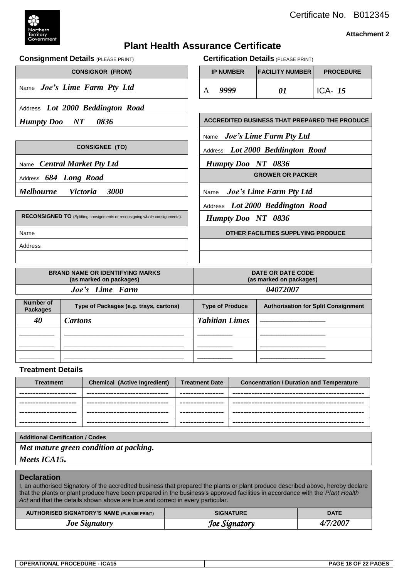

#### **Attachment 2**

#### **Plant Health Assurance Certificate**

**Consignment Details** (PLEASE PRINT) **Certification Details** (PLEASE PRINT)

|                                     | <b>CONSIGNOR (FROM)</b>                                                     |      | <b>IP NUMBER</b>        | <b>FACILITY NUMBER</b>                               | <b>PROCEDURE</b>                           |  |  |
|-------------------------------------|-----------------------------------------------------------------------------|------|-------------------------|------------------------------------------------------|--------------------------------------------|--|--|
|                                     | Name Joe's Lime Farm Pty Ltd                                                | A    | 9999                    | 01                                                   | ICA- $15$                                  |  |  |
|                                     | Address Lot 2000 Beddington Road                                            |      |                         |                                                      |                                            |  |  |
| <b>Humpty Doo</b>                   | $\boldsymbol{N}$ $\boldsymbol{T}$<br>0836                                   |      |                         | <b>ACCREDITED BUSINESS THAT PREPARED THE PRODUCE</b> |                                            |  |  |
|                                     |                                                                             | Name |                         | Joe's Lime Farm Pty Ltd                              |                                            |  |  |
|                                     | <b>CONSIGNEE (TO)</b>                                                       |      |                         | Address Lot 2000 Beddington Road                     |                                            |  |  |
|                                     | Name Central Market Pty Ltd                                                 |      | Humpty Doo NT 0836      |                                                      |                                            |  |  |
|                                     | Address 684 Long Road                                                       |      | <b>GROWER OR PACKER</b> |                                                      |                                            |  |  |
| <b>Melbourne</b>                    | 3000<br><i>Victoria</i>                                                     | Name |                         | <b>Joe's Lime Farm Pty Ltd</b>                       |                                            |  |  |
|                                     |                                                                             |      |                         | Address Lot 2000 Beddington Road                     |                                            |  |  |
|                                     | RECONSIGNED TO (Splitting consignments or reconsigning whole consignments). |      | Humpty Doo NT 0836      |                                                      |                                            |  |  |
| Name                                |                                                                             |      |                         | OTHER FACILITIES SUPPLYING PRODUCE                   |                                            |  |  |
| Address                             |                                                                             |      |                         |                                                      |                                            |  |  |
|                                     |                                                                             |      |                         |                                                      |                                            |  |  |
|                                     | <b>BRAND NAME OR IDENTIFYING MARKS</b><br>(as marked on packages)           |      |                         | <b>DATE OR DATE CODE</b><br>(as marked on packages)  |                                            |  |  |
|                                     | Joe's Lime Farm                                                             |      |                         | 04072007                                             |                                            |  |  |
| <b>Number of</b><br><b>Packages</b> | Type of Packages (e.g. trays, cartons)                                      |      | <b>Type of Produce</b>  |                                                      | <b>Authorisation for Split Consignment</b> |  |  |
|                                     |                                                                             |      |                         |                                                      |                                            |  |  |

| Number of<br><b>Packages</b> | Type of Packages (e.g. trays, cartons) | <b>Type of Produce</b> | <b>Authorisation for Split Consignment</b> |
|------------------------------|----------------------------------------|------------------------|--------------------------------------------|
| 40                           | <i>Cartons</i>                         | <b>Tahitian Limes</b>  |                                            |
|                              |                                        |                        |                                            |
|                              |                                        |                        |                                            |
|                              |                                        |                        |                                            |

#### **Treatment Details**

| <b>Treatment</b>       | Chemical (Active Ingredient)     | <b>Treatment Date</b> | <b>Concentration / Duration and Temperature</b> |
|------------------------|----------------------------------|-----------------------|-------------------------------------------------|
| ---------------------- | -------------------------------- | ----------------      |                                                 |
| ---------------------- | -------------------------------- | ----------------      |                                                 |
| ---------------------- | -------------------------------  | ----------------      |                                                 |
| ---------------------- | -------------------------------  | ----------------      |                                                 |

#### **Additional Certification / Codes**

*Met mature green condition at packing.*

#### *Meets ICA15.*

#### **Declaration**

I, an authorised Signatory of the accredited business that prepared the plants or plant produce described above, hereby declare that the plants or plant produce have been prepared in the business's approved facilities in accordance with the *Plant Health* Act and that the details shown above are true and correct in every particular.

| <b>AUTHORISED SIGNATORY'S NAME (PLEASE PRINT)</b> | <b>SIGNATURE</b> | <b>DATE</b> |
|---------------------------------------------------|------------------|-------------|
| <b>Joe Signatory</b>                              | Joe Signatory    | 4/7/2007    |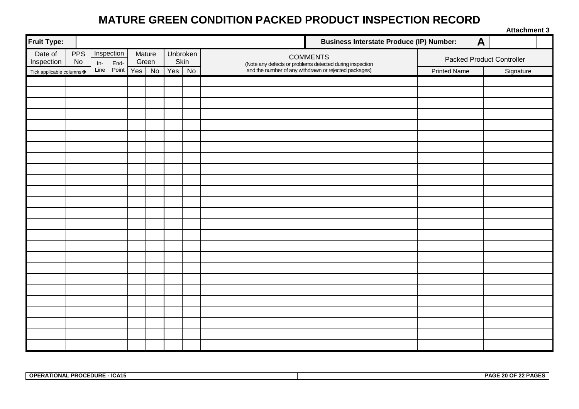#### **MATURE GREEN CONDITION PACKED PRODUCT INSPECTION RECORD**

| <b>Business Interstate Produce (IP) Number:</b><br>A<br><b>PPS</b><br>Inspection<br>Date of<br>Mature<br>Unbroken<br>COMMENTS<br>(Note any defects or problems detected during inspection<br>and the number of any withdrawn or rejected packages)<br><b>Packed Product Controller</b><br>Skin<br>Inspection<br>No<br>Green<br>End-<br>$In-$<br>Point<br>Line<br>Yes No<br>Yes<br>No<br><b>Printed Name</b><br>Signature<br>Tick applicable columns $\rightarrow$ |                    |  |  |  |  |  | <b>Attachment 3</b> |  |
|-------------------------------------------------------------------------------------------------------------------------------------------------------------------------------------------------------------------------------------------------------------------------------------------------------------------------------------------------------------------------------------------------------------------------------------------------------------------|--------------------|--|--|--|--|--|---------------------|--|
|                                                                                                                                                                                                                                                                                                                                                                                                                                                                   | <b>Fruit Type:</b> |  |  |  |  |  |                     |  |
|                                                                                                                                                                                                                                                                                                                                                                                                                                                                   |                    |  |  |  |  |  |                     |  |
|                                                                                                                                                                                                                                                                                                                                                                                                                                                                   |                    |  |  |  |  |  |                     |  |
|                                                                                                                                                                                                                                                                                                                                                                                                                                                                   |                    |  |  |  |  |  |                     |  |
|                                                                                                                                                                                                                                                                                                                                                                                                                                                                   |                    |  |  |  |  |  |                     |  |
|                                                                                                                                                                                                                                                                                                                                                                                                                                                                   |                    |  |  |  |  |  |                     |  |
|                                                                                                                                                                                                                                                                                                                                                                                                                                                                   |                    |  |  |  |  |  |                     |  |
|                                                                                                                                                                                                                                                                                                                                                                                                                                                                   |                    |  |  |  |  |  |                     |  |
|                                                                                                                                                                                                                                                                                                                                                                                                                                                                   |                    |  |  |  |  |  |                     |  |
|                                                                                                                                                                                                                                                                                                                                                                                                                                                                   |                    |  |  |  |  |  |                     |  |
|                                                                                                                                                                                                                                                                                                                                                                                                                                                                   |                    |  |  |  |  |  |                     |  |
|                                                                                                                                                                                                                                                                                                                                                                                                                                                                   |                    |  |  |  |  |  |                     |  |
|                                                                                                                                                                                                                                                                                                                                                                                                                                                                   |                    |  |  |  |  |  |                     |  |
|                                                                                                                                                                                                                                                                                                                                                                                                                                                                   |                    |  |  |  |  |  |                     |  |
|                                                                                                                                                                                                                                                                                                                                                                                                                                                                   |                    |  |  |  |  |  |                     |  |
|                                                                                                                                                                                                                                                                                                                                                                                                                                                                   |                    |  |  |  |  |  |                     |  |
|                                                                                                                                                                                                                                                                                                                                                                                                                                                                   |                    |  |  |  |  |  |                     |  |
|                                                                                                                                                                                                                                                                                                                                                                                                                                                                   |                    |  |  |  |  |  |                     |  |
|                                                                                                                                                                                                                                                                                                                                                                                                                                                                   |                    |  |  |  |  |  |                     |  |
|                                                                                                                                                                                                                                                                                                                                                                                                                                                                   |                    |  |  |  |  |  |                     |  |
|                                                                                                                                                                                                                                                                                                                                                                                                                                                                   |                    |  |  |  |  |  |                     |  |
|                                                                                                                                                                                                                                                                                                                                                                                                                                                                   |                    |  |  |  |  |  |                     |  |
|                                                                                                                                                                                                                                                                                                                                                                                                                                                                   |                    |  |  |  |  |  |                     |  |
|                                                                                                                                                                                                                                                                                                                                                                                                                                                                   |                    |  |  |  |  |  |                     |  |
|                                                                                                                                                                                                                                                                                                                                                                                                                                                                   |                    |  |  |  |  |  |                     |  |
|                                                                                                                                                                                                                                                                                                                                                                                                                                                                   |                    |  |  |  |  |  |                     |  |
|                                                                                                                                                                                                                                                                                                                                                                                                                                                                   |                    |  |  |  |  |  |                     |  |
|                                                                                                                                                                                                                                                                                                                                                                                                                                                                   |                    |  |  |  |  |  |                     |  |
|                                                                                                                                                                                                                                                                                                                                                                                                                                                                   |                    |  |  |  |  |  |                     |  |

| - ICA15<br><b>PROCEDURE</b><br><b>ODED</b><br>.TIONAL<br>ur<br>. n. n | <b>22 PAGES</b><br>20 O.E<br><b>DAQ:</b><br>. <i>.</i> |
|-----------------------------------------------------------------------|--------------------------------------------------------|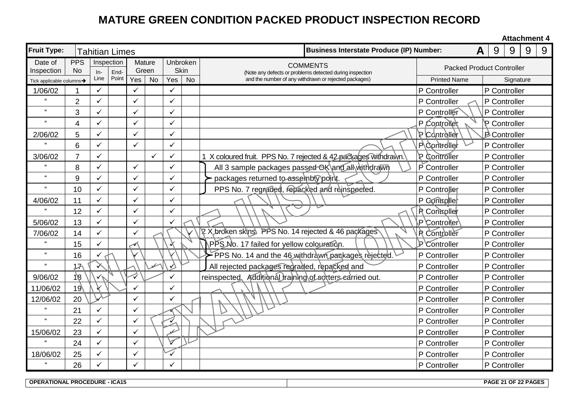### **MATURE GREEN CONDITION PACKED PRODUCT INSPECTION RECORD**

**Attachment 4**

| <b>Fruit Type:</b>         |                         | <b>Tahitian Limes</b> |                    |     |                 |              |           | <b>Business Interstate Produce (IP) Number:</b>                                                                   | A                                | 9 | 9                   | 9 | 9 |
|----------------------------|-------------------------|-----------------------|--------------------|-----|-----------------|--------------|-----------|-------------------------------------------------------------------------------------------------------------------|----------------------------------|---|---------------------|---|---|
| Date of<br>Inspection      | <b>PPS</b><br><b>No</b> |                       | Inspection<br>End- |     | Mature<br>Green | <b>Skin</b>  | Unbroken  | <b>COMMENTS</b>                                                                                                   | <b>Packed Product Controller</b> |   |                     |   |   |
| Tick applicable columns→   |                         | $In-$<br>Line         | Point              | Yes | <b>No</b>       | Yes          | <b>No</b> | (Note any defects or problems detected during inspection<br>and the number of any withdrawn or rejected packages) | <b>Printed Name</b>              |   | Signature           |   |   |
| 1/06/02                    |                         | $\checkmark$          |                    | ✓   |                 | ✓            |           |                                                                                                                   | P Controller                     |   | P Controller        |   |   |
| $\epsilon$                 | $\overline{2}$          | $\checkmark$          |                    | ✓   |                 | ✓            |           |                                                                                                                   | P Controller                     |   | P Controller        |   |   |
| $\pmb{\mathfrak{c}}$       | 3                       | $\checkmark$          |                    | ✓   |                 | $\checkmark$ |           |                                                                                                                   | P Controller                     |   | P Controller        |   |   |
| $\mathfrak{c}\mathfrak{c}$ | $\overline{4}$          | $\checkmark$          |                    | ✓   |                 | $\checkmark$ |           |                                                                                                                   | P Controller                     |   | P Controller        |   |   |
| 2/06/02                    | 5                       | $\checkmark$          |                    | ✓   |                 | $\checkmark$ |           |                                                                                                                   | P Controller                     |   | <b>B</b> Controller |   |   |
|                            | 6                       | $\checkmark$          |                    | ✓   |                 | $\checkmark$ |           |                                                                                                                   | P Controller                     |   | P Controller        |   |   |
| 3/06/02                    | 7                       | $\checkmark$          |                    |     | $\checkmark$    | $\checkmark$ |           | 1 X coloured fruit. PPS No. 7 rejected & 42 packages withdrawn.                                                   | P Controller                     |   | P Controller        |   |   |
| $\epsilon$                 | 8                       | $\checkmark$          |                    | ✓   |                 | $\checkmark$ |           | All 3 sample packages passed OK\and all withdrawn                                                                 | P Controller                     |   | P Controller        |   |   |
| $\epsilon\epsilon$         | 9                       | $\checkmark$          |                    | ✓   |                 | ✓            |           | packages returned to assembly point.                                                                              | P Controller                     |   | P Controller        |   |   |
| $\epsilon$                 | 10                      | $\checkmark$          |                    | ✓   |                 |              |           | PPS No. 7 regraded, repacked and reinspected.                                                                     | P Controller                     |   | P Controller        |   |   |
| 4/06/02                    | 11                      | $\checkmark$          |                    |     |                 | ✓            |           |                                                                                                                   | P Gontroller                     |   | P Controller        |   |   |
|                            | 12                      | $\checkmark$          |                    | ✓   |                 | ✓            |           |                                                                                                                   | <b>R</b> Controller              |   | P Controller        |   |   |
| 5/06/02                    | 13                      | $\checkmark$          |                    | ✓   |                 |              |           |                                                                                                                   | P Controller                     |   | P Controller        |   |   |
| 7/06/02                    | 14                      | $\checkmark$          |                    | ✓   |                 |              |           | 2 X broken skins PPS No. 14 rejected & 46 packages                                                                | <b>R</b> Controller              |   | P Controller        |   |   |
| $\epsilon$                 | 15                      | $\checkmark$          |                    |     |                 |              |           | PPS No. 17 failed for yellow colouration.                                                                         | P Controller                     |   | P Controller        |   |   |
| $\epsilon\epsilon$         | 16                      | ✓                     |                    |     |                 |              |           | PPS No. 14 and the 46 withdrawn packages rejected.                                                                | P Controller                     |   | P Controller        |   |   |
| $\pmb{\mathfrak{u}}$       | 17                      | √                     |                    |     |                 | ✓            |           | All rejected packages regraded, repacked and                                                                      | P Controller                     |   | P Controller        |   |   |
| 9/06/02                    | $\sqrt{8}$              |                       |                    | ✓   |                 |              |           | reinspected Additional training of sorters carried out.                                                           | P Controller                     |   | P Controller        |   |   |
| 11/06/02                   | 19 <sup>6</sup>         |                       |                    |     |                 |              |           |                                                                                                                   | P Controller                     |   | P Controller        |   |   |
| 12/06/02                   | 20                      |                       |                    | ✓   |                 |              |           |                                                                                                                   | P Controller                     |   | P Controller        |   |   |
| $\epsilon$                 | 21                      | $\checkmark$          |                    | ✓   |                 |              |           |                                                                                                                   | P Controller                     |   | P Controller        |   |   |
| $\epsilon$                 | 22                      | $\checkmark$          |                    | ✓   |                 |              |           |                                                                                                                   | P Controller                     |   | P Controller        |   |   |
| 15/06/02                   | 23                      | $\checkmark$          |                    | ✓   |                 | بمد          |           |                                                                                                                   | P Controller                     |   | P Controller        |   |   |
| $\epsilon\epsilon$         | 24                      | $\checkmark$          |                    | ✓   |                 |              |           |                                                                                                                   | P Controller                     |   | P Controller        |   |   |
| 18/06/02                   | 25                      | $\checkmark$          |                    | ✓   |                 | $\checkmark$ |           |                                                                                                                   | P Controller                     |   | P Controller        |   |   |
| $\mathfrak{c}\mathfrak{c}$ | 26                      | $\checkmark$          |                    |     |                 |              |           |                                                                                                                   | P Controller                     |   | P Controller        |   |   |

**OPERATIONAL PROCEDURE - ICA15 PAGE 21 OF 22 PAGES**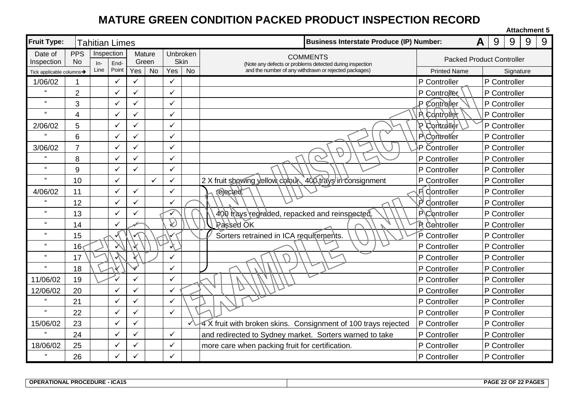### **MATURE GREEN CONDITION PACKED PRODUCT INSPECTION RECORD**

|                                             |                 |            |              |                                                                                  |              |              |                                  |                                                                |  |                     |   |   | <b>Attachment 5</b> |   |   |
|---------------------------------------------|-----------------|------------|--------------|----------------------------------------------------------------------------------|--------------|--------------|----------------------------------|----------------------------------------------------------------|--|---------------------|---|---|---------------------|---|---|
| <b>Fruit Type:</b><br><b>Tahitian Limes</b> |                 |            |              |                                                                                  |              |              |                                  | <b>Business Interstate Produce (IP) Number:</b>                |  |                     | A | 9 | 9                   | 9 | 9 |
| Date of                                     | <b>PPS</b>      | Inspection |              |                                                                                  | Mature       |              | Unbroken                         | <b>COMMENTS</b>                                                |  |                     |   |   |                     |   |   |
| Inspection                                  | N <sub>0</sub>  | In-        | End-         | <b>Skin</b><br>Green<br>(Note any defects or problems detected during inspection |              |              | <b>Packed Product Controller</b> |                                                                |  |                     |   |   |                     |   |   |
| Tick applicable columns→                    |                 | Line       | Point        | $\overline{Yes}$                                                                 | <b>No</b>    | Yes          | <b>No</b>                        | and the number of any withdrawn or rejected packages)          |  | <b>Printed Name</b> |   |   | Signature           |   |   |
| 1/06/02                                     |                 |            | $\checkmark$ | ✓                                                                                |              | ✓            |                                  |                                                                |  | P Controller        |   |   | P Controller        |   |   |
| $\epsilon$                                  | $\overline{2}$  |            | $\checkmark$ | ✓                                                                                |              | $\checkmark$ |                                  |                                                                |  | P Controller        |   |   | P Controller        |   |   |
| $\mathbf{u}$                                | 3               |            | $\checkmark$ | ✓                                                                                |              |              |                                  |                                                                |  | P Controller        |   |   | P Controller        |   |   |
| $\epsilon\epsilon$                          | $\overline{4}$  |            | ✓            |                                                                                  |              | $\checkmark$ |                                  |                                                                |  | P. Controller       |   |   | P Controller        |   |   |
| 2/06/02                                     | 5               |            | $\checkmark$ | V                                                                                |              | ✓            |                                  |                                                                |  | 19 Courroller       |   |   | P Controller        |   |   |
| $\epsilon$                                  | 6               |            | ✓            |                                                                                  |              | $\checkmark$ |                                  |                                                                |  | P Controller        |   |   | P Controller        |   |   |
| 3/06/02                                     | $\overline{7}$  |            | $\checkmark$ |                                                                                  |              | $\checkmark$ |                                  |                                                                |  | ⋅P Čontroller       |   |   | P Controller        |   |   |
|                                             | 8               |            | ✓            |                                                                                  |              | ✓            |                                  |                                                                |  | P Controller        |   |   | P Controller        |   |   |
| $\epsilon$                                  | 9               |            | ✓            |                                                                                  |              |              |                                  |                                                                |  | P Controller        |   |   | P Controller        |   |   |
| $\epsilon$                                  | 10              |            | $\checkmark$ |                                                                                  | $\checkmark$ |              |                                  | 2 X fruit showing vellow colour 400 trays in consignment       |  | P Controller        |   |   | P Controller        |   |   |
| 4/06/02                                     | 11              |            | $\checkmark$ | ✓                                                                                |              | $\checkmark$ |                                  | rejected.                                                      |  | F Controller        |   |   | P Controller        |   |   |
|                                             | 12              |            | $\checkmark$ | ✓                                                                                |              |              |                                  |                                                                |  | $P$ Controller      |   |   | P Controller        |   |   |
| $\epsilon\epsilon$                          | 13              |            | $\checkmark$ |                                                                                  |              | ✓            |                                  | 400 trays regraded, repacked and reinspected.                  |  | P\Controller        |   |   | P Controller        |   |   |
| $\pmb{\mathfrak{c}}$                        | 14              |            | ✓            |                                                                                  |              | $\wp$        |                                  | <b>Passed OK</b>                                               |  | <b>R</b> Centroller |   |   | P Controller        |   |   |
| $\epsilon\epsilon$                          | 15              |            |              |                                                                                  |              |              |                                  | Sorters retrained in ICA requirements.                         |  | P Controller        |   |   | P Controller        |   |   |
| $\pmb{\mathfrak{c}}$                        | 16 <sub>1</sub> |            |              |                                                                                  |              | $\chi$       |                                  |                                                                |  | P Controller        |   |   | P Controller        |   |   |
| $\epsilon$                                  | 17              |            |              |                                                                                  |              |              |                                  |                                                                |  | P Controller        |   |   | P Controller        |   |   |
| $\epsilon\epsilon$                          | 18              |            |              |                                                                                  |              |              |                                  |                                                                |  | P Controller        |   |   | P Controller        |   |   |
| 11/06/02                                    | 19              |            |              | ✓                                                                                |              | ✓            |                                  |                                                                |  | P Controller        |   |   | P Controller        |   |   |
| 12/06/02                                    | 20              |            | ✓            |                                                                                  |              |              |                                  | D                                                              |  | P Controller        |   |   | P Controller        |   |   |
| $\mathbf{u}$                                | 21              |            | $\checkmark$ | ✓                                                                                |              |              |                                  |                                                                |  | P Controller        |   |   | P Controller        |   |   |
| $\epsilon\epsilon$                          | 22              |            | $\checkmark$ |                                                                                  |              | $\checkmark$ |                                  |                                                                |  | P Controller        |   |   | P Controller        |   |   |
| 15/06/02                                    | 23              |            | $\checkmark$ | ✓                                                                                |              |              |                                  | 4 X fruit with broken skins. Consignment of 100 trays rejected |  | P Controller        |   |   | P Controller        |   |   |
|                                             | 24              |            | ✓            |                                                                                  |              | $\checkmark$ |                                  | and redirected to Sydney market. Sorters warned to take        |  | P Controller        |   |   | P Controller        |   |   |
| 18/06/02                                    | 25              |            | $\checkmark$ | ✓                                                                                |              |              |                                  | more care when packing fruit for certification.                |  | P Controller        |   |   | P Controller        |   |   |
|                                             | 26              |            |              |                                                                                  |              |              |                                  |                                                                |  | P Controller        |   |   | P Controller        |   |   |